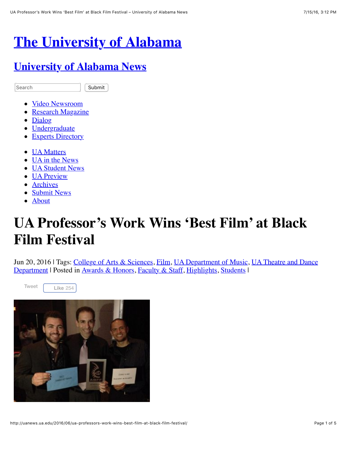# **[The University of Alabama](http://www.ua.edu/)**

#### **[University of Alabama News](http://uanews.ua.edu/)**

Search **Submit** 

- [Video Newsroom](http://uanews.ua.edu/video/)
- [Research Magazine](http://research.ua.edu/)
- [Dialog](http://dialog.ua.edu/)
- [Undergraduate](http://undergraduate.ua.edu/)
- [Experts Directory](http://uanews.ua.edu/experts/)
- **[UA Matters](http://uanews.ua.edu/category/ua-matters/)**
- [UA in the News](http://uanews.ua.edu/category/ua-in-the-news/)
- **[UA Student News](http://uanews.ua.edu/category/ua-student-news/)**
- [UA Preview](http://uanews.ua.edu/category/ua-preview/)
- [Archives](http://uanews.ua.edu/archives-index/)
- [Submit News](http://uanews.ua.edu/submit-news/)
- [About](http://uanews.ua.edu/about/)

# **UA Professor's Work Wins 'Best Film' at Black Film Festival**

[Jun 20, 2016 | Tags: College of Arts & Sciences, Film, UA Department of Music, UA Theatre and Dance](http://uanews.ua.edu/tag/ua-theatre-and-dance-department/) Department | Posted in [Awards & Honors,](http://uanews.ua.edu/category/awards-honors/) [Faculty & Staff,](http://uanews.ua.edu/category/faculty/) [Highlights,](http://uanews.ua.edu/category/highlights/) [Students](http://uanews.ua.edu/category/students/) |



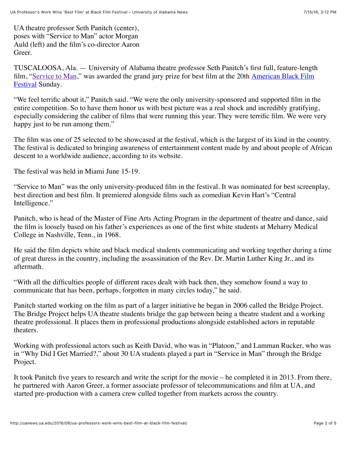UA theatre professor Seth Panitch (center), poses with "Service to Man" actor Morgan Auld (left) and the film's co-director Aaron Greer.

TUSCALOOSA, Ala. — University of Alabama theatre professor Seth Panitch's first full, feature-length [film, "](http://www.abff.com/2016-film-screenings/narrative-features/)[Service to Man](http://uanews.ua.edu/2016/06/ua-theatre-professors-film-to-premiere-at-american-black-film-festival/)[," was awarded the grand jury prize for best film at the 20th American Black Film](http://www.abff.com/2016-film-screenings/narrative-features/) **Festival Sunday.** 

"We feel terrific about it," Panitch said. "We were the only university-sponsored and supported film in the entire competition. So to have them honor us with best picture was a real shock and incredibly gratifying, especially considering the caliber of films that were running this year. They were terrific film. We were very happy just to be run among them."

The film was one of 25 selected to be showcased at the festival, which is the largest of its kind in the country. The festival is dedicated to bringing awareness of entertainment content made by and about people of African descent to a worldwide audience, according to its website.

The festival was held in Miami June 15-19.

"Service to Man" was the only university-produced film in the festival. It was nominated for best screenplay, best direction and best film. It premiered alongside films such as comedian Kevin Hart's "Central Intelligence."

Panitch, who is head of the Master of Fine Arts Acting Program in the department of theatre and dance, said the film is loosely based on his father's experiences as one of the first white students at Meharry Medical College in Nashville, Tenn., in 1968.

He said the film depicts white and black medical students communicating and working together during a time of great duress in the country, including the assassination of the Rev. Dr. Martin Luther King Jr., and its aftermath.

"With all the difficulties people of different races dealt with back then, they somehow found a way to communicate that has been, perhaps, forgotten in many circles today," he said.

Panitch started working on the film as part of a larger initiative he began in 2006 called the Bridge Project. The Bridge Project helps UA theatre students bridge the gap between being a theatre student and a working theatre professional. It places them in professional productions alongside established actors in reputable theaters.

Working with professional actors such as Keith David, who was in "Platoon," and Lamman Rucker, who was in "Why Did I Get Married?," about 30 UA students played a part in "Service in Man" through the Bridge Project.

It took Panitch five years to research and write the script for the movie – he completed it in 2013. From there, he partnered with Aaron Greer, a former associate professor of telecommunications and film at UA, and started pre-production with a camera crew culled together from markets across the country.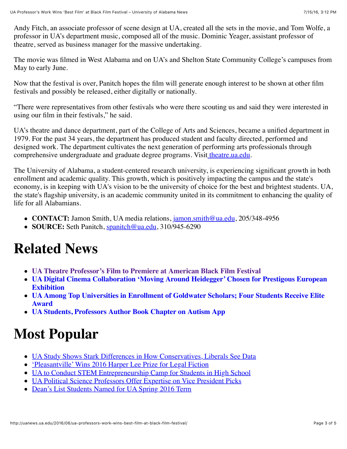Andy Fitch, an associate professor of scene design at UA, created all the sets in the movie, and Tom Wolfe, a professor in UA's department music, composed all of the music. Dominic Yeager, assistant professor of theatre, served as business manager for the massive undertaking.

The movie was filmed in West Alabama and on UA's and Shelton State Community College's campuses from May to early June.

Now that the festival is over, Panitch hopes the film will generate enough interest to be shown at other film festivals and possibly be released, either digitally or nationally.

"There were representatives from other festivals who were there scouting us and said they were interested in using our film in their festivals," he said.

UA's theatre and dance department, part of the College of Arts and Sciences, became a unified department in 1979. For the past 34 years, the department has produced student and faculty directed, performed and designed work. The department cultivates the next generation of performing arts professionals through comprehensive undergraduate and graduate degree programs. Visit theatre ua edu.

The University of Alabama, a student-centered research university, is experiencing significant growth in both enrollment and academic quality. This growth, which is positively impacting the campus and the state's economy, is in keeping with UA's vision to be the university of choice for the best and brightest students. UA, the state's flagship university, is an academic community united in its commitment to enhancing the quality of life for all Alabamians.

- **CONTACT:** Jamon Smith, UA media relations, [jamon.smith@ua.edu,](mailto:jamon.smith@ua.edu) 205/348-4956
- **SOURCE:** Seth Panitch, [spanitch@ua.edu](mailto:spanitch@ua.edu), 310/945-6290

### **Related News**

- **[UA Theatre Professor's Film to Premiere at American Black Film Festival](http://uanews.ua.edu/2016/06/ua-theatre-professors-film-to-premiere-at-american-black-film-festival/)**
- **[UA Digital Cinema Collaboration 'Moving Around Heidegger' Chosen for Prestigous European](http://uanews.ua.edu/2009/02/ua-digital-cinema-collaboration-moving-around-heidegger-chosen-for-prestigous-european-exhibition/) Exhibition**
- **[UA Among Top Universities in Enrollment of Goldwater Scholars; Four Students Receive Elite](http://uanews.ua.edu/2011/04/ua-among-top-universities-in-enrollment-of-goldwater-scholars-four-students-receive-elite-award/) Award**
- **[UA Students, Professors Author Book Chapter on Autism App](http://uanews.ua.edu/2013/10/ua-students-professors-author-book-chapter-on-autism-app/)**

## **Most Popular**

- [UA Study Shows Stark Differences in How Conservatives, Liberals See Data](http://uanews.ua.edu/2016/07/ua-study-shows-stark-differences-in-how-conservatives-liberals-see-data/)
- <u>['Pleasantville' Wins 2016 Harper Lee Prize for Legal Fiction](http://uanews.ua.edu/2016/07/pleasantville-wins-2016-harper-lee-prize-for-legal-fiction/)</u>
- [UA to Conduct STEM Entrepreneurship Camp for Students in High School](http://uanews.ua.edu/2016/07/ua-to-conduct-stem-entrepreneurship-camp-for-students-in-high-school/)
- [UA Political Science Professors Offer Expertise on Vice President Picks](http://uanews.ua.edu/2016/07/ua-political-science-professors-offer-expertise-on-vice-president-picks/)
- [Dean's List Students Named for UA Spring 2016 Term](http://uanews.ua.edu/2016/06/deans-list-students-named-for-ua-spring-2016-term/)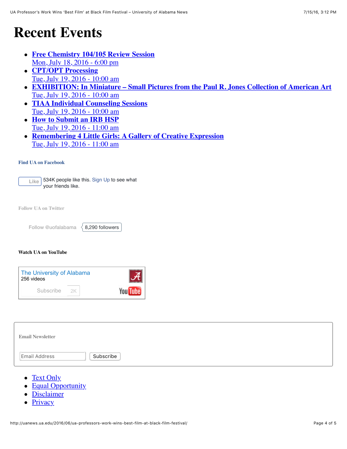### **Recent Events**

- **[Free Chemistry 104/105 Review Session](http://events.ua.edu/event/32344/)** Mon, July 18, 2016 - 6:00 pm
- **CPT/OPT Processing** [Tue, July 19, 2016 - 10:00 am](http://events.ua.edu/event/24939/)
- **[EXHIBITION: In Miniature Small Pictures from the Paul R. Jones Collection of American Art](http://events.ua.edu/event/32711/)** Tue, July 19, 2016 - 10:00 am
- **[TIAA Individual Counseling Sessions](http://events.ua.edu/event/33166/)** Tue, July 19, 2016 - 10:00 am
- **How to Submit an IRB HSP** [Tue, July 19, 2016 - 11:00 am](http://events.ua.edu/event/32513/)
- **[Remembering 4 Little Girls: A Gallery of Creative Expression](http://events.ua.edu/event/32881/)** Tue, July 19, 2016 - 11:00 am

#### **Find UA on Facebook**

**Like** 534K people like this. [Sign Up](https://www.facebook.com/campaign/landing.php?campaign_id=137675572948107&partner_id=uanews.ua.edu&placement=like_plugin&extra_1=http%3A%2F%2Fuanews.ua.edu%2F2016%2F06%2Fua-professors-work-wins-best-film-at-black-film-festival%2F&extra_2=US) to see what your friends like.

**Follow UA on Twitter**

| Follow @uofalabama |  | $\langle 8,290$ |
|--------------------|--|-----------------|
|--------------------|--|-----------------|

followers

#### **Watch UA on YouTube**

| The University of Alabama<br>256 videos |     |                 |
|-----------------------------------------|-----|-----------------|
| Subscribe                               | -2K | <b>You Tube</b> |

| <b>Email Newsletter</b>           |  |
|-----------------------------------|--|
| Subscribe<br><b>Email Address</b> |  |

- [Text Only](http://transcoder.usablenet.com/tt/referrer)
- [Equal Opportunity](http://eop.ua.edu/)
- [Disclaimer](http://ua.edu/disclaimer.html)
- [Privacy](http://ua.edu/privacy.html)